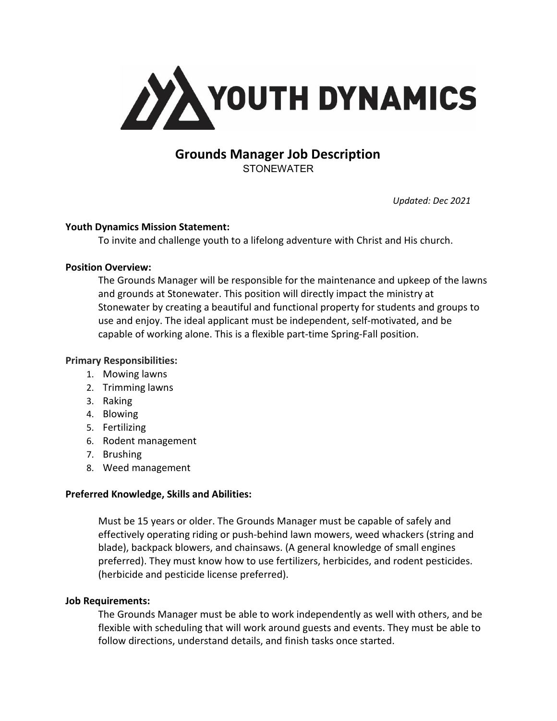

# **Grounds Manager Job Description STONEWATER**

*Updated: Dec 2021*

### **Youth Dynamics Mission Statement:**

To invite and challenge youth to a lifelong adventure with Christ and His church.

### **Position Overview:**

The Grounds Manager will be responsible for the maintenance and upkeep of the lawns and grounds at Stonewater. This position will directly impact the ministry at Stonewater by creating a beautiful and functional property for students and groups to use and enjoy. The ideal applicant must be independent, self-motivated, and be capable of working alone. This is a flexible part-time Spring-Fall position.

## **Primary Responsibilities:**

- 1. Mowing lawns
- 2. Trimming lawns
- 3. Raking
- 4. Blowing
- 5. Fertilizing
- 6. Rodent management
- 7. Brushing
- 8. Weed management

# **Preferred Knowledge, Skills and Abilities:**

Must be 15 years or older. The Grounds Manager must be capable of safely and effectively operating riding or push-behind lawn mowers, weed whackers (string and blade), backpack blowers, and chainsaws. (A general knowledge of small engines preferred). They must know how to use fertilizers, herbicides, and rodent pesticides. (herbicide and pesticide license preferred).

# **Job Requirements:**

The Grounds Manager must be able to work independently as well with others, and be flexible with scheduling that will work around guests and events. They must be able to follow directions, understand details, and finish tasks once started.